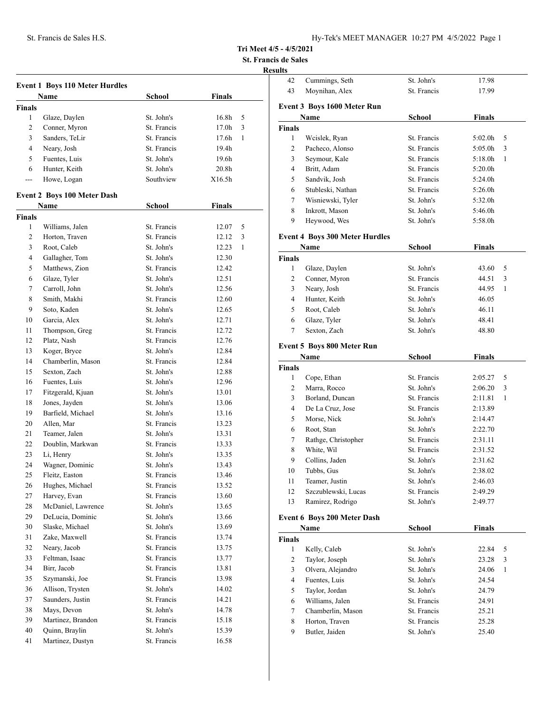**Tri Meet 4/5 - 4/5/2021**

**St. Francis de Sales**

# **Results**

| <b>Event 1 Boys 110 Meter Hurdles</b> |                                    |               |               |  |
|---------------------------------------|------------------------------------|---------------|---------------|--|
|                                       |                                    |               |               |  |
| <b>Finals</b>                         |                                    |               |               |  |
| $\mathbf{1}$                          | Glaze, Daylen                      | St. John's    | 16.8h<br>5    |  |
| 2                                     | Conner, Myron                      | St. Francis   | 17.0h<br>3    |  |
| 3                                     | Sanders, TeLir                     | St. Francis   | 17.6h<br>1    |  |
| 4                                     | Neary, Josh                        | St. Francis   | 19.4h         |  |
| 5                                     | Fuentes, Luis                      | St. John's    | 19.6h         |  |
| 6                                     | Hunter, Keith                      | St. John's    | 20.8h         |  |
| ---                                   | Howe, Logan                        | Southview     | X16.5h        |  |
|                                       | <b>Event 2 Boys 100 Meter Dash</b> |               |               |  |
|                                       | Name                               | <b>School</b> | <b>Finals</b> |  |
| <b>Finals</b>                         |                                    |               |               |  |
| 1                                     | Williams, Jalen                    | St. Francis   | 5<br>12.07    |  |
| 2                                     | Horton, Traven                     | St. Francis   | 12.12<br>3    |  |
| 3                                     | Root, Caleb                        | St. John's    | 12.23<br>1    |  |
| 4                                     | Gallagher, Tom                     | St. John's    | 12.30         |  |
| 5                                     | Matthews, Zion                     | St. Francis   | 12.42         |  |
| 6                                     | Glaze, Tyler                       | St. John's    | 12.51         |  |
| 7                                     | Carroll, John                      | St. John's    | 12.56         |  |
| 8                                     | Smith, Makhi                       | St. Francis   | 12.60         |  |
| 9                                     | Soto, Kaden                        | St. John's    | 12.65         |  |
| 10                                    | Garcia, Alex                       | St. John's    | 12.71         |  |
| 11                                    | Thompson, Greg                     | St. Francis   | 12.72         |  |
| 12                                    | Platz, Nash                        | St. Francis   | 12.76         |  |
| 13                                    | Koger, Bryce                       | St. John's    | 12.84         |  |
| 14                                    | Chamberlin, Mason                  | St. Francis   | 12.84         |  |
| 15                                    | Sexton, Zach                       | St. John's    | 12.88         |  |
| 16                                    | Fuentes, Luis                      | St. John's    | 12.96         |  |
| 17                                    | Fitzgerald, Kjuan                  | St. John's    | 13.01         |  |
| 18                                    | Jones, Jayden                      | St. John's    | 13.06         |  |
| 19                                    | Barfield, Michael                  | St. John's    | 13.16         |  |
| 20                                    | Allen, Mar                         | St. Francis   | 13.23         |  |
|                                       |                                    | St. John's    |               |  |
| 21                                    | Teamer, Jalen                      |               | 13.31         |  |
| 22                                    | Doublin, Markwan                   | St. Francis   | 13.33         |  |
| 23                                    | Li, Henry                          | St. John's    | 13.35         |  |
| 24                                    | Wagner, Dominic                    | St. John's    | 13.43         |  |
| 25                                    | Fleitz, Easton                     | St. Francis   | 13.46         |  |
| 26                                    | Hughes, Michael                    | St. Francis   | 13.52         |  |
| 27                                    | Harvey, Evan                       | St. Francis   | 13.60         |  |
| 28                                    | McDaniel, Lawrence                 | St. John's    | 13.65         |  |
| 29                                    | DeLucia, Dominic                   | St. John's    | 13.66         |  |
| 30                                    | Slaske, Michael                    | St. John's    | 13.69         |  |
| 31                                    | Zake, Maxwell                      | St. Francis   | 13.74         |  |
| 32                                    | Neary, Jacob                       | St. Francis   | 13.75         |  |
| 33                                    | Feltman, Isaac                     | St. Francis   | 13.77         |  |
| 34                                    | Birr, Jacob                        | St. Francis   | 13.81         |  |
| 35                                    | Szymanski, Joe                     | St. Francis   | 13.98         |  |
| 36                                    | Allison, Trysten                   | St. John's    | 14.02         |  |
| 37                                    | Saunders, Justin                   | St. Francis   | 14.21         |  |
| 38                                    | Mays, Devon                        | St. John's    | 14.78         |  |
| 39                                    | Martinez, Brandon                  | St. Francis   | 15.18         |  |
| 40                                    | Quinn, Braylin                     | St. John's    | 15.39         |  |
| 41                                    | Martinez, Dustyn                   | St. Francis   | 16.58         |  |

| 42             | Cummings, Seth                        | St. John's    | 17.98               |        |
|----------------|---------------------------------------|---------------|---------------------|--------|
| 43             | Moynihan, Alex                        | St. Francis   | 17.99               |        |
|                | Event 3 Boys 1600 Meter Run           |               |                     |        |
|                | Name                                  | <b>School</b> | <b>Finals</b>       |        |
| <b>Finals</b>  |                                       |               |                     |        |
| 1              | Wcislek, Ryan                         | St. Francis   | 5:02.0h             | 5      |
| $\overline{2}$ | Pacheco, Alonso                       | St. Francis   | 5:05.0h             | 3      |
| 3              | Seymour, Kale                         | St. Francis   | 5:18.0h             | 1      |
| 4              | Britt, Adam                           | St. Francis   | 5:20.0 <sub>h</sub> |        |
| 5              | Sandvik, Josh                         | St. Francis   | 5:24.0h             |        |
| 6              | Stubleski, Nathan                     | St. Francis   | 5:26.0 <sub>h</sub> |        |
| 7              | Wisniewski, Tyler                     | St. John's    | 5:32.0h             |        |
| 8              | Inkrott, Mason                        | St. John's    | 5:46.0h             |        |
| 9              | Heywood, Wes                          | St. John's    | 5:58.0h             |        |
|                |                                       |               |                     |        |
|                | <b>Event 4 Boys 300 Meter Hurdles</b> |               |                     |        |
|                | Name                                  | <b>School</b> | <b>Finals</b>       |        |
| <b>Finals</b>  |                                       |               |                     |        |
| 1              | Glaze, Daylen                         | St. John's    | 43.60               | 5      |
| 2              | Conner, Myron                         | St. Francis   | 44.51               | 3      |
| 3              | Neary, Josh                           | St. Francis   | 44.95               | 1      |
| 4              | Hunter, Keith                         | St. John's    | 46.05               |        |
| 5              | Root, Caleb                           | St. John's    | 46.11               |        |
| 6              | Glaze, Tyler                          | St. John's    | 48.41               |        |
| 7              | Sexton, Zach                          | St. John's    | 48.80               |        |
|                | <b>Event 5 Boys 800 Meter Run</b>     |               |                     |        |
|                | Name                                  | <b>School</b> | <b>Finals</b>       |        |
| <b>Finals</b>  |                                       |               |                     |        |
| $\mathbf{1}$   | Cope, Ethan                           | St. Francis   | 2:05.27             | 5      |
| $\overline{2}$ | Marra, Rocco                          | St. John's    | 2:06.20             | 3      |
| 3              | Borland, Duncan                       | St. Francis   | 2:11.81             | 1      |
| 4              | De La Cruz, Jose                      | St. Francis   | 2:13.89             |        |
| 5              | Morse, Nick                           | St. John's    | 2:14.47             |        |
| 6              | Root, Stan                            | St. John's    | 2:22.70             |        |
| 7              | Rathge, Christopher                   | St. Francis   | 2:31.11             |        |
| 8              | White, Wil                            | St. Francis   | 2:31.52             |        |
| 9              | Collins, Jaden                        | St. John's    | 2:31.62             |        |
| 10             | Tubbs, Gus                            | St. John's    | 2:38.02             |        |
| 11             | Teamer, Justin                        | St. John's    | 2:46.03             |        |
| 12             | Szczublewski, Lucas                   | St. Francis   | 2:49.29             |        |
| 13             | Ramirez, Rodrigo                      | St. John's    | 2:49.77             |        |
|                |                                       |               |                     |        |
|                | <b>Event 6 Boys 200 Meter Dash</b>    |               |                     |        |
|                | Name                                  | <b>School</b> | <b>Finals</b>       |        |
| Finals<br>1    |                                       | St. John's    |                     |        |
| $\overline{c}$ | Kelly, Caleb                          | St. John's    | 22.84               | 5<br>3 |
| 3              | Taylor, Joseph<br>Olvera, Alejandro   | St. John's    | 23.28<br>24.06      | 1      |
| 4              | Fuentes, Luis                         | St. John's    | 24.54               |        |
| 5              | Taylor, Jordan                        | St. John's    | 24.79               |        |
| 6              | Williams, Jalen                       | St. Francis   | 24.91               |        |
| 7              | Chamberlin, Mason                     | St. Francis   | 25.21               |        |
| 8              | Horton, Traven                        | St. Francis   | 25.28               |        |
| 9              | Butler, Jaiden                        | St. John's    | 25.40               |        |
|                |                                       |               |                     |        |
|                |                                       |               |                     |        |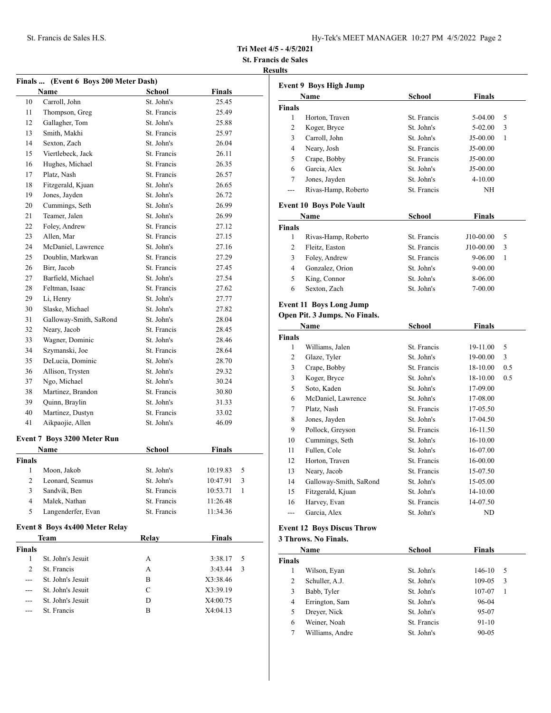**Tri Meet 4/5 - 4/5/2021**

**St. Francis de Sales**

## **Results**

|                    | Finals  (Event 6 Boys 200 Meter Dash) |               |               |   |
|--------------------|---------------------------------------|---------------|---------------|---|
|                    | Name                                  | <b>School</b> | <b>Finals</b> |   |
| 10                 | Carroll, John                         | St. John's    | 25.45         |   |
| 11                 | Thompson, Greg                        | St. Francis   | 25.49         |   |
| 12                 | Gallagher, Tom                        | St. John's    | 25.88         |   |
| 13                 | Smith, Makhi                          | St. Francis   | 25.97         |   |
| 14                 | Sexton, Zach                          | St. John's    | 26.04         |   |
| 15                 | Viertlebeck, Jack                     | St. Francis   | 26.11         |   |
| 16                 | Hughes, Michael                       | St. Francis   | 26.35         |   |
| 17                 | Platz, Nash                           | St. Francis   | 26.57         |   |
| 18                 | Fitzgerald, Kjuan                     | St. John's    | 26.65         |   |
| 19                 | Jones, Jayden                         | St. John's    | 26.72         |   |
| 20                 | Cummings, Seth                        | St. John's    | 26.99         |   |
| 21                 | Teamer, Jalen                         | St. John's    | 26.99         |   |
| 22                 | Foley, Andrew                         | St. Francis   | 27.12         |   |
| 23                 | Allen, Mar                            | St. Francis   | 27.15         |   |
| 24                 | McDaniel, Lawrence                    | St. John's    | 27.16         |   |
| 25                 | Doublin, Markwan                      | St. Francis   | 27.29         |   |
| 26                 | Birr, Jacob                           | St. Francis   | 27.45         |   |
| 27                 | Barfield, Michael                     | St. John's    | 27.54         |   |
| 28                 | Feltman, Isaac                        | St. Francis   | 27.62         |   |
| 29                 | Li, Henry                             | St. John's    | 27.77         |   |
| 30                 | Slaske, Michael                       | St. John's    | 27.82         |   |
| 31                 | Galloway-Smith, SaRond                | St. John's    | 28.04         |   |
| 32                 | Neary, Jacob                          | St. Francis   | 28.45         |   |
| 33                 | Wagner, Dominic                       | St. John's    | 28.46         |   |
| 34                 | Szymanski, Joe                        | St. Francis   | 28.64         |   |
| 35                 | DeLucia, Dominic                      | St. John's    | 28.70         |   |
| 36                 | Allison, Trysten                      | St. John's    | 29.32         |   |
| 37                 | Ngo, Michael                          | St. John's    | 30.24         |   |
| 38                 | Martinez, Brandon                     | St. Francis   | 30.80         |   |
| 39                 | Quinn, Braylin                        | St. John's    | 31.33         |   |
| 40                 | Martinez, Dustyn                      | St. Francis   | 33.02         |   |
| 41                 | Aikpaojie, Allen                      | St. John's    | 46.09         |   |
|                    | <b>Event 7 Boys 3200 Meter Run</b>    |               |               |   |
|                    | <b>Name</b>                           | <b>School</b> | <b>Finals</b> |   |
| <b>Finals</b>      |                                       |               |               |   |
| 1                  | Moon, Jakob                           | St. John's    | 10:19.83      | 5 |
| $\mathfrak{D}$     | Leonard, Seamus                       | St. John's    | 10:47.91      | 3 |
| 3                  | Sandvik, Ben                          | St. Francis   | 10:53.71      | 1 |
| $\overline{4}$     | Malek, Nathan                         | St. Francis   | 11:26.48      |   |
| 5                  | Langenderfer, Evan                    | St. Francis   | 11:34.36      |   |
|                    | Event 8 Boys 4x400 Meter Relay        |               |               |   |
|                    | Team                                  | <b>Relay</b>  | <b>Finals</b> |   |
| <b>Finals</b><br>1 | $C_1$ Labels Laquit                   |               | $3.3817 - 5$  |   |
|                    |                                       |               |               |   |

| `inals        |                   |               |                |
|---------------|-------------------|---------------|----------------|
|               | St. John's Jesuit | A             | $3:38.17$ 5    |
| $\mathcal{L}$ | St. Francis       | A             | 3:43.44<br>- 3 |
|               | St. John's Jesuit | В             | X3:38.46       |
|               | St. John's Jesuit | $\mathcal{C}$ | X3:39.19       |
|               | St. John's Jesuit | D             | X4:00.75       |
|               | St. Francis       | в             | X4:04.13       |

| <b>Event 9 Boys High Jump</b> |                                 |             |               |   |
|-------------------------------|---------------------------------|-------------|---------------|---|
| Name                          |                                 | School      | <b>Finals</b> |   |
| <b>Finals</b>                 |                                 |             |               |   |
| 1                             | Horton, Traven                  | St. Francis | $5-04.00$     | 5 |
| $\overline{2}$                | Koger, Bryce                    | St. John's  | $5-02.00$     | 3 |
| 3                             | Carroll, John                   | St. John's  | J5-00.00      | 1 |
| 4                             | Neary, Josh                     | St. Francis | $J5-00.00$    |   |
| 5                             | Crape, Bobby                    | St. Francis | $J5-00.00$    |   |
| 6                             | Garcia, Alex                    | St. John's  | $J5-00.00$    |   |
| 7                             | Jones, Jayden                   | St. John's  | $4 - 10.00$   |   |
| ---                           | Rivas-Hamp, Roberto             | St. Francis | ΝH            |   |
|                               | <b>Event 10 Boys Pole Vault</b> |             |               |   |
|                               | Name                            | School      | <b>Finals</b> |   |
| <b>Finals</b>                 |                                 |             |               |   |
| 1                             | Rivas-Hamp, Roberto             | St. Francis | J10-00.00     | 5 |
| 2                             | Fleitz, Easton                  | St. Francis | J10-00.00     | 3 |
| 3                             | Foley, Andrew                   | St. Francis | $9-06.00$     | 1 |
| 4                             | Gonzalez, Orion                 | St. John's  | $9 - 00.00$   |   |
| 5                             | King, Connor                    | St. John's  | 8-06.00       |   |
| 6                             | Sexton, Zach                    | St. John's  | 7-00.00       |   |
|                               |                                 |             |               |   |

# **Event 11 Boys Long Jump**

# **Open Pit. 3 Jumps. No Finals.**

| Name   |                        | School      | Finals   |     |
|--------|------------------------|-------------|----------|-----|
| Finals |                        |             |          |     |
| 1      | Williams, Jalen        | St. Francis | 19-11.00 | 5   |
| 2      | Glaze, Tyler           | St. John's  | 19-00.00 | 3   |
| 3      | Crape, Bobby           | St. Francis | 18-10.00 | 0.5 |
| 3      | Koger, Bryce           | St. John's  | 18-10.00 | 0.5 |
| 5      | Soto, Kaden            | St. John's  | 17-09.00 |     |
| 6      | McDaniel, Lawrence     | St. John's  | 17-08.00 |     |
| 7      | Platz, Nash            | St. Francis | 17-05.50 |     |
| 8      | Jones, Jayden          | St. John's  | 17-04.50 |     |
| 9      | Pollock, Greyson       | St. Francis | 16-11.50 |     |
| 10     | Cummings, Seth         | St. John's  | 16-10.00 |     |
| 11     | Fullen, Cole           | St. John's  | 16-07.00 |     |
| 12     | Horton, Traven         | St. Francis | 16-00.00 |     |
| 13     | Neary, Jacob           | St. Francis | 15-07.50 |     |
| 14     | Galloway-Smith, SaRond | St. John's  | 15-05.00 |     |
| 15     | Fitzgerald, Kjuan      | St. John's  | 14-10.00 |     |
| 16     | Harvey, Evan           | St. Francis | 14-07.50 |     |
| ---    | Garcia, Alex           | St. John's  | ND       |     |

# **Event 12 Boys Discus Throw**

## **3 Throws. No Finals.**

| Name          |                 | <b>School</b> | <b>Finals</b> |  |
|---------------|-----------------|---------------|---------------|--|
| <b>Finals</b> |                 |               |               |  |
| 1             | Wilson, Eyan    | St. John's    | 146-10<br>-5  |  |
| 2             | Schuller, A.J.  | St. John's    | 109-05<br>3   |  |
| 3             | Babb, Tyler     | St. John's    | 107-07        |  |
| 4             | Errington, Sam  | St. John's    | 96-04         |  |
| 5             | Dreyer, Nick    | St. John's    | 95-07         |  |
| 6             | Weiner, Noah    | St. Francis   | 91-10         |  |
| 7             | Williams, Andre | St. John's    | $90 - 05$     |  |